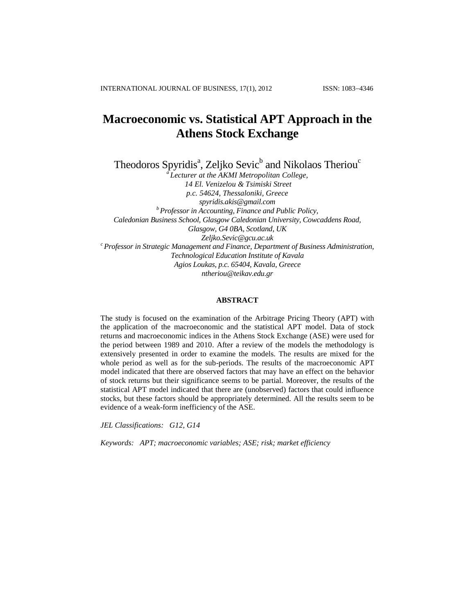# **Macroeconomic vs. Statistical APT Approach in the Athens Stock Exchange**

Theodoros Spyridis<sup>a</sup>, Zeljko Sevic<sup>b</sup> and Nikolaos Theriou<sup>c</sup>

*<sup>a</sup>Lecturer at the AKMI Metropolitan College, 14 El. Venizelou & Tsimiski Street p.c. 54624, Thessaloniki, Greece [spyridis.akis@gmail.com](mailto:spyridis.akis@gmail.com) <sup>b</sup>Professor in Accounting, Finance and Public Policy, Caledonian Business School, Glasgow Caledonian University, Cowcaddens Road, Glasgow, G4 0BA, Scotland, UK [Zeljko.Sevic@gcu.ac.uk](mailto:Zeljko.Sevic@gcu.ac.uk) <sup>c</sup>Professor in Strategic Management and Finance, Department of Business Administration, Technological Education Institute of Kavala Agios Loukas, p.c. 65404, Kavala, Greece [ntheriou@teikav.edu.gr](mailto:ntheriou@teikav.edu.gr)*

# **ABSTRACT**

The study is focused on the examination of the Arbitrage Pricing Theory (APT) with the application of the macroeconomic and the statistical APT model. Data of stock returns and macroeconomic indices in the Athens Stock Exchange (ASE) were used for the period between 1989 and 2010. After a review of the models the methodology is extensively presented in order to examine the models. The results are mixed for the whole period as well as for the sub-periods. The results of the macroeconomic APT model indicated that there are observed factors that may have an effect on the behavior of stock returns but their significance seems to be partial. Moreover, the results of the statistical APT model indicated that there are (unobserved) factors that could influence stocks, but these factors should be appropriately determined. All the results seem to be evidence of a weak-form inefficiency of the ASE.

*JEL Classifications: G12, G14* 

*Keywords: APT; macroeconomic variables; ASE; risk; market efficiency*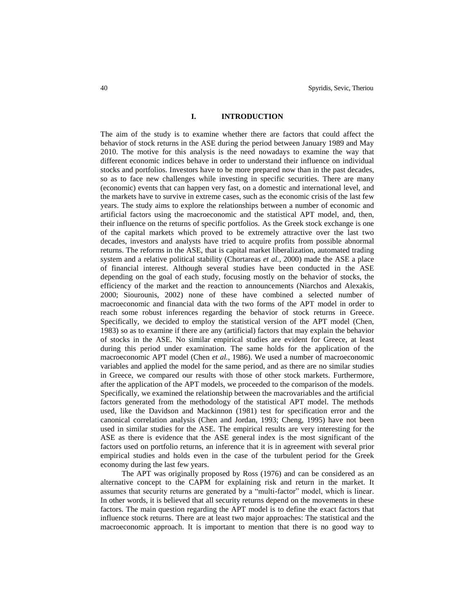# **I. INTRODUCTION**

The aim of the study is to examine whether there are factors that could affect the behavior of stock returns in the ASE during the period between January 1989 and May 2010. The motive for this analysis is the need nowadays to examine the way that different economic indices behave in order to understand their influence on individual stocks and portfolios. Investors have to be more prepared now than in the past decades, so as to face new challenges while investing in specific securities. There are many (economic) events that can happen very fast, on a domestic and international level, and the markets have to survive in extreme cases, such as the economic crisis of the last few years. The study aims to explore the relationships between a number of economic and artificial factors using the macroeconomic and the statistical APT model, and, then, their influence on the returns of specific portfolios. As the Greek stock exchange is one of the capital markets which proved to be extremely attractive over the last two decades, investors and analysts have tried to acquire profits from possible abnormal returns. The reforms in the ASE, that is capital market liberalization, automated trading system and a relative political stability (Chortareas *et al.*, 2000) made the ASE a place of financial interest. Although several studies have been conducted in the ASE depending on the goal of each study, focusing mostly on the behavior of stocks, the efficiency of the market and the reaction to announcements (Niarchos and Alexakis, 2000; Siourounis, 2002) none of these have combined a selected number of macroeconomic and financial data with the two forms of the APT model in order to reach some robust inferences regarding the behavior of stock returns in Greece. Specifically, we decided to employ the statistical version of the APT model (Chen, 1983) so as to examine if there are any (artificial) factors that may explain the behavior of stocks in the ASE. No similar empirical studies are evident for Greece, at least during this period under examination. The same holds for the application of the macroeconomic APT model (Chen *et al.*, 1986). We used a number of macroeconomic variables and applied the model for the same period, and as there are no similar studies in Greece, we compared our results with those of other stock markets. Furthermore, after the application of the APT models, we proceeded to the comparison of the models. Specifically, we examined the relationship between the macrovariables and the artificial factors generated from the methodology of the statistical APT model. The methods used, like the Davidson and Mackinnon (1981) test for specification error and the canonical correlation analysis (Chen and Jordan, 1993; Cheng, 1995) have not been used in similar studies for the ASE. The empirical results are very interesting for the ASE as there is evidence that the ASE general index is the most significant of the factors used on portfolio returns, an inference that it is in agreement with several prior empirical studies and holds even in the case of the turbulent period for the Greek economy during the last few years.

The APT was originally proposed by Ross (1976) and can be considered as an alternative concept to the CAPM for explaining risk and return in the market. It assumes that security returns are generated by a "multi-factor" model, which is linear. In other words, it is believed that all security returns depend on the movements in these factors. The main question regarding the APT model is to define the exact factors that influence stock returns. There are at least two major approaches: The statistical and the macroeconomic approach. It is important to mention that there is no good way to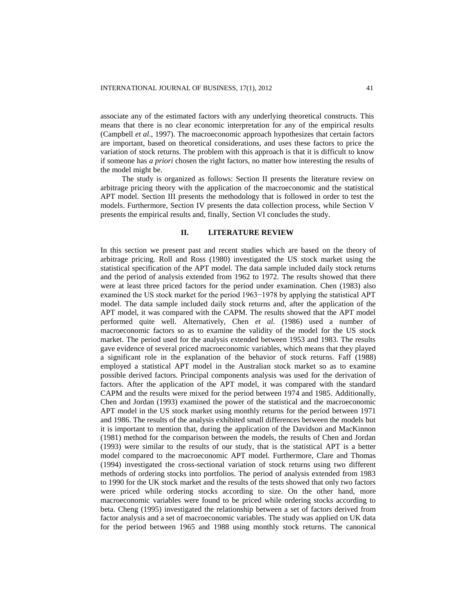associate any of the estimated factors with any underlying theoretical constructs. This means that there is no clear economic interpretation for any of the empirical results (Campbell *et al*., 1997). The macroeconomic approach hypothesizes that certain factors are important, based on theoretical considerations, and uses these factors to price the variation of stock returns. The problem with this approach is that it is difficult to know if someone has *a priori* chosen the right factors, no matter how interesting the results of the model might be.

The study is organized as follows: Section II presents the literature review on arbitrage pricing theory with the application of the macroeconomic and the statistical APT model. Section III presents the methodology that is followed in order to test the models. Furthermore, Section IV presents the data collection process, while Section V presents the empirical results and, finally, Section VI concludes the study.

## **II. LITERATURE REVIEW**

In this section we present past and recent studies which are based on the theory of arbitrage pricing. Roll and Ross (1980) investigated the US stock market using the statistical specification of the APT model. The data sample included daily stock returns and the period of analysis extended from 1962 to 1972. The results showed that there were at least three priced factors for the period under examination. Chen (1983) also examined the US stock market for the period 1963−1978 by applying the statistical APT model. The data sample included daily stock returns and, after the application of the APT model, it was compared with the CAPM. The results showed that the APT model performed quite well. Alternatively, Chen *et al.* (1986) used a number of macroeconomic factors so as to examine the validity of the model for the US stock market. The period used for the analysis extended between 1953 and 1983. The results gave evidence of several priced macroeconomic variables, which means that they played a significant role in the explanation of the behavior of stock returns. Faff (1988) employed a statistical APT model in the Australian stock market so as to examine possible derived factors. Principal components analysis was used for the derivation of factors. After the application of the APT model, it was compared with the standard CAPM and the results were mixed for the period between 1974 and 1985. Additionally, Chen and Jordan (1993) examined the power of the statistical and the macroeconomic APT model in the US stock market using monthly returns for the period between 1971 and 1986. The results of the analysis exhibited small differences between the models but it is important to mention that, during the application of the Davidson and MacKinnon (1981) method for the comparison between the models, the results of Chen and Jordan (1993) were similar to the results of our study, that is the statistical APT is a better model compared to the macroeconomic APT model. Furthermore, Clare and Thomas (1994) investigated the cross-sectional variation of stock returns using two different methods of ordering stocks into portfolios. The period of analysis extended from 1983 to 1990 for the UK stock market and the results of the tests showed that only two factors were priced while ordering stocks according to size. On the other hand, more macroeconomic variables were found to be priced while ordering stocks according to beta. Cheng (1995) investigated the relationship between a set of factors derived from factor analysis and a set of macroeconomic variables. The study was applied on UK data for the period between 1965 and 1988 using monthly stock returns. The canonical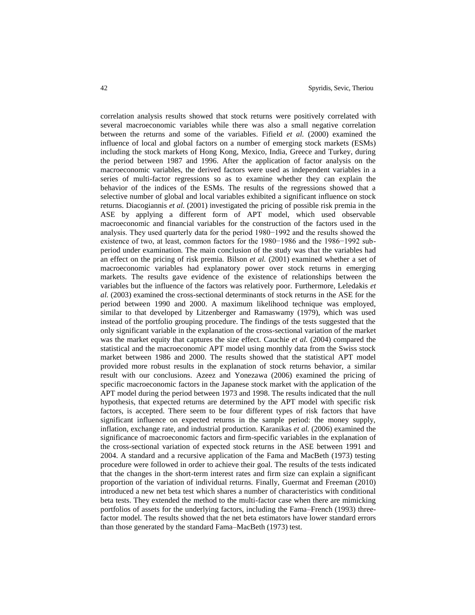correlation analysis results showed that stock returns were positively correlated with several macroeconomic variables while there was also a small negative correlation between the returns and some of the variables. Fifield *et al.* (2000) examined the influence of local and global factors on a number of emerging stock markets (ESMs) including the stock markets of Hong Kong, Mexico, India, Greece and Turkey, during the period between 1987 and 1996. After the application of factor analysis on the macroeconomic variables, the derived factors were used as independent variables in a series of multi-factor regressions so as to examine whether they can explain the behavior of the indices of the ESMs. The results of the regressions showed that a selective number of global and local variables exhibited a significant influence on stock returns. Diacogiannis *et al.* (2001) investigated the pricing of possible risk premia in the ASE by applying a different form of APT model, which used observable macroeconomic and financial variables for the construction of the factors used in the analysis. They used quarterly data for the period 1980−1992 and the results showed the existence of two, at least, common factors for the 1980−1986 and the 1986−1992 subperiod under examination. The main conclusion of the study was that the variables had an effect on the pricing of risk premia. Bilson *et al.* (2001) examined whether a set of macroeconomic variables had explanatory power over stock returns in emerging markets. The results gave evidence of the existence of relationships between the variables but the influence of the factors was relatively poor. Furthermore, Leledakis *et al.* (2003) examined the cross-sectional determinants of stock returns in the ASE for the period between 1990 and 2000. A maximum likelihood technique was employed, similar to that developed by Litzenberger and Ramaswamy (1979), which was used instead of the portfolio grouping procedure. The findings of the tests suggested that the only significant variable in the explanation of the cross-sectional variation of the market was the market equity that captures the size effect. Cauchie *et al.* (2004) compared the statistical and the macroeconomic APT model using monthly data from the Swiss stock market between 1986 and 2000. The results showed that the statistical APT model provided more robust results in the explanation of stock returns behavior, a similar result with our conclusions. Azeez and Yonezawa (2006) examined the pricing of specific macroeconomic factors in the Japanese stock market with the application of the APT model during the period between 1973 and 1998. The results indicated that the null hypothesis, that expected returns are determined by the APT model with specific risk factors, is accepted. There seem to be four different types of risk factors that have significant influence on expected returns in the sample period: the money supply, inflation, exchange rate, and industrial production. Karanikas *et al.* (2006) examined the significance of macroeconomic factors and firm-specific variables in the explanation of the cross-sectional variation of expected stock returns in the ASE between 1991 and 2004. A standard and a recursive application of the Fama and MacBeth (1973) testing procedure were followed in order to achieve their goal. The results of the tests indicated that the changes in the short-term interest rates and firm size can explain a significant proportion of the variation of individual returns. Finally, Guermat and Freeman (2010) introduced a new net beta test which shares a number of characteristics with conditional beta tests. They extended the method to the multi-factor case when there are mimicking portfolios of assets for the underlying factors, including the Fama–French (1993) threefactor model. The results showed that the net beta estimators have lower standard errors than those generated by the standard Fama–MacBeth (1973) test.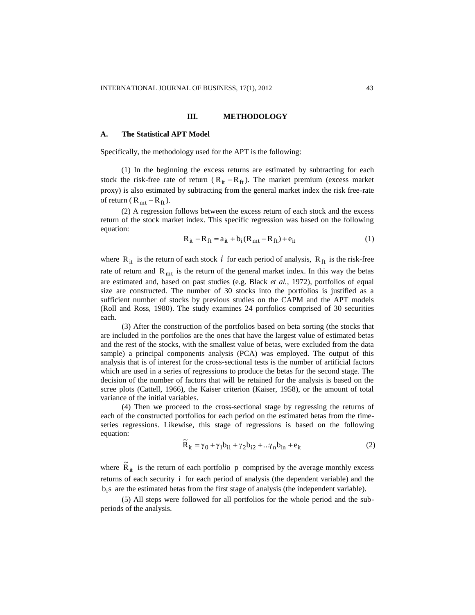# **III. METHODOLOGY**

#### **A. The Statistical APT Model**

Specifically, the methodology used for the APT is the following:

(1) In the beginning the excess returns are estimated by subtracting for each stock the risk-free rate of return  $(R_{it} - R_{ft})$ . The market premium (excess market proxy) is also estimated by subtracting from the general market index the risk free-rate of return ( $R_{mt} - R_{ft}$ ).

(2) A regression follows between the excess return of each stock and the excess return of the stock market index. This specific regression was based on the following equation:

$$
R_{it} - R_{ft} = a_{it} + b_i (R_{mt} - R_{ft}) + e_{it}
$$
 (1)

where  $R_{it}$  is the return of each stock  $i$  for each period of analysis,  $R_{ft}$  is the risk-free rate of return and  $R_{mt}$  is the return of the general market index. In this way the betas are estimated and, based on past studies (e.g. Black *et al.*, 1972), portfolios of equal size are constructed. The number of 30 stocks into the portfolios is justified as a sufficient number of stocks by previous studies on the CAPM and the APT models (Roll and Ross, 1980). The study examines 24 portfolios comprised of 30 securities each.

(3) After the construction of the portfolios based on beta sorting (the stocks that are included in the portfolios are the ones that have the largest value of estimated betas and the rest of the stocks, with the smallest value of betas, were excluded from the data sample) a principal components analysis (PCA) was employed. The output of this analysis that is of interest for the cross-sectional tests is the number of artificial factors which are used in a series of regressions to produce the betas for the second stage. The decision of the number of factors that will be retained for the analysis is based on the scree plots (Cattell, 1966), the Kaiser criterion (Kaiser, 1958), or the amount of total variance of the initial variables.

(4) Then we proceed to the cross-sectional stage by regressing the returns of each of the constructed portfolios for each period on the estimated betas from the timeseries regressions. Likewise, this stage of regressions is based on the following equation:

$$
\widetilde{\mathbf{R}}_{it} = \gamma_0 + \gamma_1 \mathbf{b}_{i1} + \gamma_2 \mathbf{b}_{i2} + \dots + \gamma_n \mathbf{b}_{in} + \mathbf{e}_{it}
$$
\n(2)

where  $\tilde{R}_{it}$  is the return of each portfolio p comprised by the average monthly excess returns of each security i for each period of analysis (the dependent variable) and the  $b_i$ s are the estimated betas from the first stage of analysis (the independent variable).

(5) All steps were followed for all portfolios for the whole period and the subperiods of the analysis.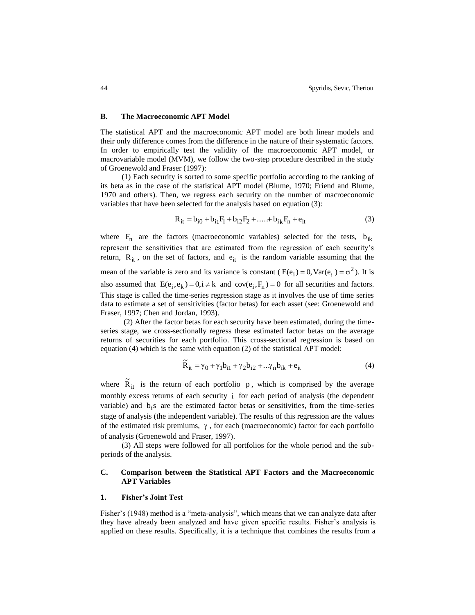## **B. The Macroeconomic APT Model**

The statistical APT and the macroeconomic APT model are both linear models and their only difference comes from the difference in the nature of their systematic factors. In order to empirically test the validity of the macroeconomic APT model, or macrovariable model (MVM), we follow the two-step procedure described in the study of Groenewold and Fraser (1997):

(1) Each security is sorted to some specific portfolio according to the ranking of its beta as in the case of the statistical APT model (Blume, 1970; Friend and Blume, 1970 and others). Then, we regress each security on the number of macroeconomic variables that have been selected for the analysis based on equation (3):

$$
R_{it} = b_{i0} + b_{i1}F_1 + b_{i2}F_2 + \dots + b_{i_k}F_n + e_{it}
$$
 (3)

where  $F_n$  are the factors (macroeconomic variables) selected for the tests,  $b_{ik}$ represent the sensitivities that are estimated from the regression of each security's return,  $R_{it}$ , on the set of factors, and  $e_{it}$  is the random variable assuming that the mean of the variable is zero and its variance is constant ( $E(e_i) = 0$ ,  $Var(e_i) = \sigma^2$  $E(e_i) = 0$ , Var $(e_i) = \sigma^2$ ). It is also assumed that  $E(e_i, e_k) = 0, i \neq k$  and  $cov(e_i, F_n) = 0$  for all securities and factors. This stage is called the time-series regression stage as it involves the use of time series data to estimate a set of sensitivities (factor betas) for each asset (see: Groenewold and Fraser, 1997; Chen and Jordan, 1993).

(2) After the factor betas for each security have been estimated, during the timeseries stage, we cross-sectionally regress these estimated factor betas on the average returns of securities for each portfolio. This cross-sectional regression is based on equation (4) which is the same with equation (2) of the statistical APT model:

$$
\widetilde{\mathbf{R}}_{it} = \gamma_0 + \gamma_1 \mathbf{b}_{i1} + \gamma_2 \mathbf{b}_{i2} + \dots + \gamma_n \mathbf{b}_{ik} + \mathbf{e}_{it}
$$
\n(4)

where  $\tilde{R}_{it}$  is the return of each portfolio p, which is comprised by the average monthly excess returns of each security i for each period of analysis (the dependent variable) and  $b_i s$  are the estimated factor betas or sensitivities, from the time-series stage of analysis (the independent variable). The results of this regression are the values of the estimated risk premiums,  $\gamma$ , for each (macroeconomic) factor for each portfolio of analysis (Groenewold and Fraser, 1997).

(3) All steps were followed for all portfolios for the whole period and the subperiods of the analysis.

# **C. Comparison between the Statistical APT Factors and the Macroeconomic APT Variables**

#### **1. Fisher's Joint Test**

Fisher's (1948) method is a "meta-analysis", which means that we can analyze data after they have already been analyzed and have given specific results. Fisher's analysis is applied on these results. Specifically, it is a technique that combines the results from a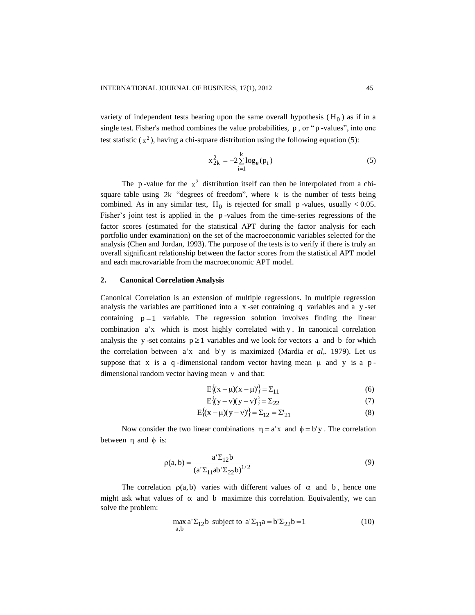variety of [independent](http://en.wikipedia.org/wiki/Statistical_independence) [tests](http://en.wikipedia.org/wiki/Test) bearing upon the same overall [hypothesis](http://en.wikipedia.org/wiki/Hypothesis)  $(H_0)$  as if in a single [test.](http://en.wikipedia.org/wiki/Test) Fisher's method combines the value [probabilities,](http://en.wikipedia.org/wiki/Probabilities) p, or "p[-values"](http://en.wikipedia.org/wiki/P-value), into one [test statistic](http://en.wikipedia.org/wiki/Test_statistic)  $(x^2)$ , having a [chi-square distribution](http://en.wikipedia.org/wiki/Chi-square_distribution) using the following equation (5):

$$
x_{2k}^{2} = -2\sum_{i=1}^{k} \log_{e}(p_{i})
$$
 (5)

The p[-value](http://en.wikipedia.org/wiki/P-value) for the  $x^2$  distribution itself can then be [interpolated](http://en.wikipedia.org/wiki/Interpolation) from a chisquare table using 2k ["degrees of freedom"](http://en.wikipedia.org/wiki/Degrees_of_freedom), where k is the number of tests being combined. As in any similar [test,](http://en.wikipedia.org/wiki/Test)  $H_0$  is rejected for small p[-values,](http://en.wikipedia.org/wiki/P-value) usually < 0.05. Fisher's joint test is applied in the p[-values](http://en.wikipedia.org/wiki/P-value) from the time-series regressions of the factor scores (estimated for the statistical APT during the factor analysis for each portfolio under examination) on the set of the macroeconomic variables selected for the analysis (Chen and Jordan, 1993). The purpose of the tests is to verify if there is truly an overall significant relationship between the factor scores from the statistical APT model and each macrovariable from the macroeconomic APT model.

# **2. Canonical Correlation Analysis**

Canonical Correlation is an extension of multiple regressions. In multiple regression analysis the variables are partitioned into a x -set containing q variables and a y -set containing  $p=1$  variable. The regression solution involves finding the linear combination a'x which is most highly correlated with y . In canonical correlation analysis the y-set contains  $p \ge 1$  variables and we look for vectors a and b for which the correlation between a'x and b'y is maximized (Mardia *et al*,*.* 1979). Let us suppose that x is a q-dimensional random vector having mean  $\mu$  and y is a pdimensional random vector having mean  $\nu$  and that:

$$
E\{(x - \mu)(x - \mu)\} = \Sigma_{11}
$$
 (6)

$$
E\{(y-v)(y-v)'\} = \Sigma_{22}
$$
 (7)

$$
E\{(x - \mu)(y - v)^{t}\} = \Sigma_{12} = \Sigma'_{21}
$$
 (8)

Now consider the two linear combinations  $\eta = a'x$  and  $\phi = b'y$ . The correlation between  $\eta$  and  $\phi$  is:

$$
\rho(a, b) = \frac{a' \Sigma_{12} b}{(a' \Sigma_{11} ab' \Sigma_{22} b)^{1/2}}
$$
\n(9)

The correlation  $\rho(a,b)$  varies with different values of  $\alpha$  and b, hence one might ask what values of  $\alpha$  and b maximize this correlation. Equivalently, we can solve the problem:

$$
\max_{a,b} a' \Sigma_{12} b \text{ subject to } a' \Sigma_{11} a = b' \Sigma_{22} b = 1
$$
 (10)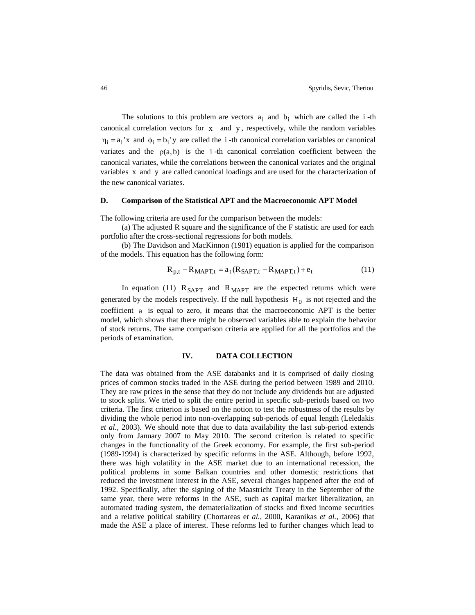The solutions to this problem are vectors  $a_i$  and  $b_i$  which are called the i-th canonical correlation vectors for x and y , respectively, while the random variables  $\eta_i = a_i$ 'x and  $\phi_i = b_i$ 'y are called the *i*-th canonical correlation variables or canonical variates and the  $p(a,b)$  is the *i*-th canonical correlation coefficient between the canonical variates, while the correlations between the canonical variates and the original variables x and y are called canonical loadings and are used for the characterization of the new canonical variates.

# **D. Comparison of the Statistical APT and the Macroeconomic APT Model**

The following criteria are used for the comparison between the models:

(a) The adjusted R square and the significance of the F statistic are used for each portfolio after the cross-sectional regressions for both models.

(b) The Davidson and MacKinnon (1981) equation is applied for the comparison of the models. This equation has the following form:

$$
R_{p,t} - R_{MAPT,t} = a_t (R_{SAPT,t} - R_{MAPT,t}) + e_t
$$
\n(11)

In equation (11)  $R_{\text{SAPT}}$  and  $R_{\text{MAPT}}$  are the expected returns which were generated by the models respectively. If the null hypothesis  $H_0$  is not rejected and the coefficient a is equal to zero, it means that the macroeconomic APT is the better model, which shows that there might be observed variables able to explain the behavior of stock returns. The same comparison criteria are applied for all the portfolios and the periods of examination.

#### **IV. DATA COLLECTION**

The data was obtained from the ASE databanks and it is comprised of daily closing prices of common stocks traded in the ASE during the period between 1989 and 2010. They are raw prices in the sense that they do not include any dividends but are adjusted to stock splits. We tried to split the entire period in specific sub-periods based on two criteria. The first criterion is based on the notion to test the robustness of the results by dividing the whole period into non-overlapping sub-periods of equal length (Leledakis *et al.*, 2003). We should note that due to data availability the last sub-period extends only from January 2007 to May 2010. The second criterion is related to specific changes in the functionality of the Greek economy. For example, the first sub-period (1989-1994) is characterized by specific reforms in the ASE. Although, before 1992, there was high volatility in the ASE market due to an international recession, the political problems in some Balkan countries and other domestic restrictions that reduced the investment interest in the ASE, several changes happened after the end of 1992. Specifically, after the signing of the Maastricht Treaty in the September of the same year, there were reforms in the ASE, such as capital market liberalization, an automated trading system, the dematerialization of stocks and fixed income securities and a relative political stability (Chortareas e*t al.*, 2000, Karanikas *et al.*, 2006) that made the ASE a place of interest. These reforms led to further changes which lead to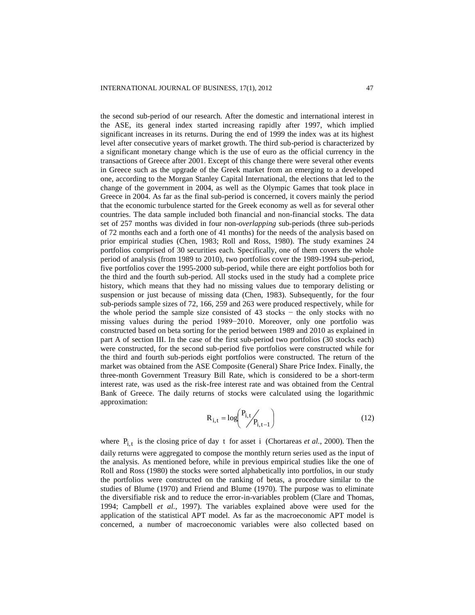the second sub-period of our research. After the domestic and international interest in the ASE, its general index started increasing rapidly after 1997, which implied significant increases in its returns. During the end of 1999 the index was at its highest level after consecutive years of market growth. The third sub-period is characterized by a significant monetary change which is the use of euro as the official currency in the transactions of Greece after 2001. Except of this change there were several other events in Greece such as the upgrade of the Greek market from an emerging to a developed one, according to the Morgan Stanley Capital International, the elections that led to the change of the government in 2004, as well as the Olympic Games that took place in Greece in 2004. As far as the final sub-period is concerned, it covers mainly the period that the economic turbulence started for the Greek economy as well as for several other countries. The data sample included both financial and non-financial stocks. The data set of 257 months was divided in four non-*overlapping* sub-periods (three sub-periods of 72 months each and a forth one of 41 months) for the needs of the analysis based on prior empirical studies (Chen, 1983; Roll and Ross, 1980). The study examines 24 portfolios comprised of 30 securities each. Specifically, one of them covers the whole period of analysis (from 1989 to 2010), two portfolios cover the 1989-1994 sub-period, five portfolios cover the 1995-2000 sub-period, while there are eight portfolios both for the third and the fourth sub-period. All stocks used in the study had a complete price history, which means that they had no missing values due to temporary delisting or suspension or just because of missing data (Chen, 1983). Subsequently, for the four sub-periods sample sizes of 72, 166, 259 and 263 were produced respectively, while for the whole period the sample size consisted of 43 stocks  $-$  the only stocks with no missing values during the period 1989−2010. Moreover, only one portfolio was constructed based on beta sorting for the period between 1989 and 2010 as explained in part A of section III. In the case of the first sub-period two portfolios (30 stocks each) were constructed, for the second sub-period five portfolios were constructed while for the third and fourth sub-periods eight portfolios were constructed. The return of the market was obtained from the ASE Composite (General) Share Price Index. Finally, the three-month Government Treasury Bill Rate, which is considered to be a short-term interest rate, was used as the risk-free interest rate and was obtained from the Central Bank of Greece. The daily returns of stocks were calculated using the logarithmic approximation:

$$
R_{i,t} = \log \binom{P_{i,t}}{P_{i,t-1}}
$$
 (12)

where  $P_{i,t}$  is the closing price of day t for asset i (Chortareas *et al.*, 2000). Then the daily returns were aggregated to compose the monthly return series used as the input of the analysis. As mentioned before, while in previous empirical studies like the one of Roll and Ross (1980) the stocks were sorted alphabetically into portfolios, in our study the portfolios were constructed on the ranking of betas, a procedure similar to the studies of Blume (1970) and Friend and Blume (1970). The purpose was to eliminate the diversifiable risk and to reduce the error-in-variables problem (Clare and Thomas, 1994; Campbell *et al.*, 1997). The variables explained above were used for the application of the statistical APT model. As far as the macroeconomic APT model is concerned, a number of macroeconomic variables were also collected based on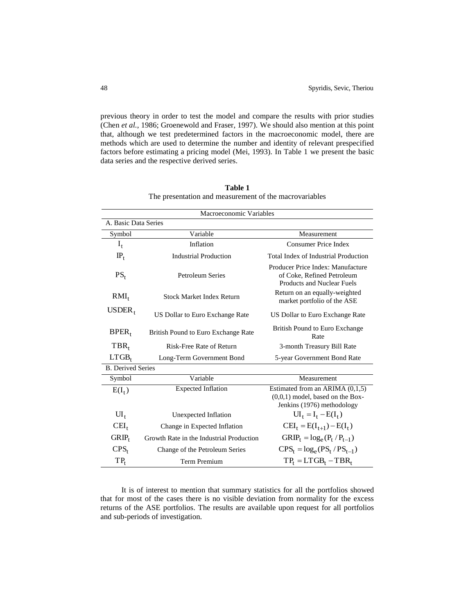previous theory in order to test the model and compare the results with prior studies (Chen *et al.*, 1986; Groenewold and Fraser, 1997). We should also mention at this point that, although we test predetermined factors in the macroeconomic model, there are methods which are used to determine the number and identity of relevant prespecified factors before estimating a pricing model (Mei, 1993). In Table 1 we present the basic data series and the respective derived series.

| Macroeconomic Variables  |                                          |                                                                                                       |  |  |  |  |  |  |  |
|--------------------------|------------------------------------------|-------------------------------------------------------------------------------------------------------|--|--|--|--|--|--|--|
| A. Basic Data Series     |                                          |                                                                                                       |  |  |  |  |  |  |  |
| Symbol                   | Variable                                 | Measurement                                                                                           |  |  |  |  |  |  |  |
| $I_t$                    | Inflation                                | Consumer Price Index                                                                                  |  |  |  |  |  |  |  |
| $IP_t$                   | <b>Industrial Production</b>             | <b>Total Index of Industrial Production</b>                                                           |  |  |  |  |  |  |  |
| $PS_t$                   | <b>Petroleum Series</b>                  | Producer Price Index: Manufacture<br>of Coke, Refined Petroleum<br><b>Products and Nuclear Fuels</b>  |  |  |  |  |  |  |  |
| $RMI_t$                  | <b>Stock Market Index Return</b>         | Return on an equally-weighted<br>market portfolio of the ASE                                          |  |  |  |  |  |  |  |
| $USDER_t$                | US Dollar to Euro Exchange Rate          | US Dollar to Euro Exchange Rate                                                                       |  |  |  |  |  |  |  |
| $BPER_t$                 | British Pound to Euro Exchange Rate      | <b>British Pound to Euro Exchange</b><br>Rate                                                         |  |  |  |  |  |  |  |
| $TBR_t$                  | Risk-Free Rate of Return                 | 3-month Treasury Bill Rate                                                                            |  |  |  |  |  |  |  |
| $LTGB_t$                 | Long-Term Government Bond                | 5-year Government Bond Rate                                                                           |  |  |  |  |  |  |  |
| <b>B.</b> Derived Series |                                          |                                                                                                       |  |  |  |  |  |  |  |
| Symbol                   | Variable                                 | Measurement                                                                                           |  |  |  |  |  |  |  |
| $E(I_t)$                 | <b>Expected Inflation</b>                | Estimated from an ARIMA $(0,1,5)$<br>$(0,0,1)$ model, based on the Box-<br>Jenkins (1976) methodology |  |  |  |  |  |  |  |
| $UI_t$                   | Unexpected Inflation                     | $UI_t = I_t - E(I_t)$                                                                                 |  |  |  |  |  |  |  |
| $\text{CEI}_{t}$         | Change in Expected Inflation             | $CEI_t = E(I_{t+1}) - E(I_t)$                                                                         |  |  |  |  |  |  |  |
| $GRIP_t$                 | Growth Rate in the Industrial Production | $GRIP_t = log_e(P_t / P_{t-1})$                                                                       |  |  |  |  |  |  |  |
| $CPS_t$                  | Change of the Petroleum Series           | $CPS_t = log_e (PS_t / PS_{t-1})$                                                                     |  |  |  |  |  |  |  |
| $TP_t$                   | Term Premium                             | $TP_t = LTGB_t - TBR_t$                                                                               |  |  |  |  |  |  |  |

**Table 1** The presentation and measurement of the macrovariables

It is of interest to mention that summary statistics for all the portfolios showed that for most of the cases there is no visible deviation from normality for the excess returns of the ASE portfolios. The results are available upon request for all portfolios and sub-periods of investigation.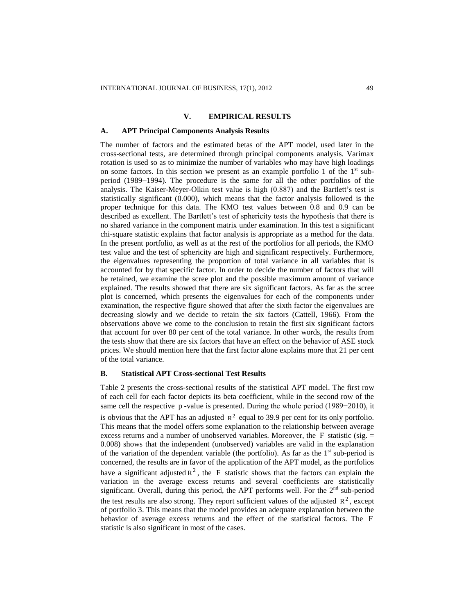# **V. EMPIRICAL RESULTS**

#### **A. APT Principal Components Analysis Results**

The number of factors and the estimated betas of the APT model, used later in the cross-sectional tests, are determined through principal components analysis. Varimax rotation is used so as to minimize the number of variables who may have high loadings on some factors. In this section we present as an example portfolio 1 of the  $1<sup>st</sup>$  subperiod (1989−1994). The procedure is the same for all the other portfolios of the analysis. The Kaiser-Meyer-Olkin test value is high (0.887) and the Bartlett's test is statistically significant (0.000), which means that the factor analysis followed is the proper technique for this data. The KMO test values between 0.8 and 0.9 can be described as excellent. The Bartlett's test of sphericity tests the hypothesis that there is no shared variance in the component matrix under examination. In this test a significant chi-square statistic explains that factor analysis is appropriate as a method for the data. In the present portfolio, as well as at the rest of the portfolios for all periods, the KMO test value and the test of sphericity are high and significant respectively. Furthermore, the eigenvalues representing the proportion of total variance in all variables that is accounted for by that specific factor. In order to decide the number of factors that will be retained, we examine the scree plot and the possible maximum amount of variance explained. The results showed that there are six significant factors. As far as the scree plot is concerned, which presents the eigenvalues for each of the components under examination, the respective figure showed that after the sixth factor the eigenvalues are decreasing slowly and we decide to retain the six factors (Cattell, 1966). From the observations above we come to the conclusion to retain the first six significant factors that account for over 80 per cent of the total variance. In other words, the results from the tests show that there are six factors that have an effect on the behavior of ASE stock prices. We should mention here that the first factor alone explains more that 21 per cent of the total variance.

# **B. Statistical APT Cross-sectional Test Results**

Table 2 presents the cross-sectional results of the statistical APT model. The first row of each cell for each factor depicts its beta coefficient, while in the second row of the same cell the respective p-value is presented. During the whole period (1989–2010), it is obvious that the APT has an adjusted  $R^2$  equal to 39.9 per cent for its only portfolio. This means that the model offers some explanation to the relationship between average excess returns and a number of unobserved variables. Moreover, the  $F$  statistic (sig.  $=$ 0.008) shows that the independent (unobserved) variables are valid in the explanation of the variation of the dependent variable (the portfolio). As far as the  $1<sup>st</sup>$  sub-period is concerned, the results are in favor of the application of the APT model, as the portfolios have a significant adjusted  $R^2$ , the F statistic shows that the factors can explain the variation in the average excess returns and several coefficients are statistically significant. Overall, during this period, the APT performs well. For the  $2<sup>nd</sup>$  sub-period the test results are also strong. They report sufficient values of the adjusted  $R^2$ , except of portfolio 3. This means that the model provides an adequate explanation between the behavior of average excess returns and the effect of the statistical factors. The F statistic is also significant in most of the cases.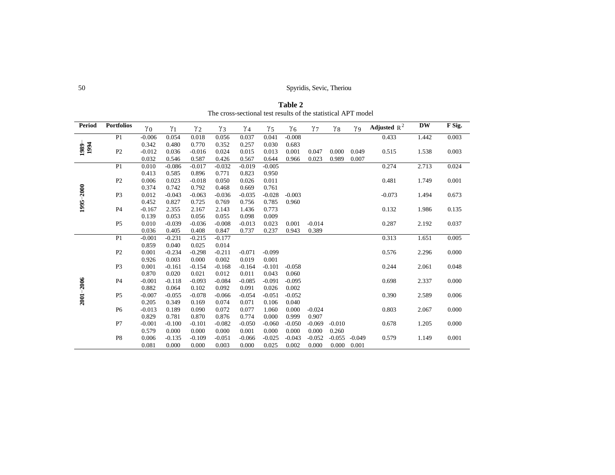50 Spyridis, Sevic, Theriou

**Period Portfolios**  $\gamma_0$   $\gamma_1$  $\gamma_1$   $\gamma_2$   $\gamma_3$  $\gamma_3$   $\gamma_4$   $\gamma_5$  $\gamma_5$   $\gamma_6$   $\gamma_7$  $\gamma_7$   $\gamma_8$   $\gamma_9$  $\gamma_9$ Adjusted  $R^2$ **DW F Sig. 1989**− **1994** P1 -0.006 0.342 0.054 0.480 0.018 0.770 0.056 0.352 0.037 0.257 0.041 0.030 -0.008 0.683 0.433 1.442 0.003 P2 -0.012 0.032 0.036 0.546 -0.016 0.587 0.024 0.426 0.015 0.567 0.013 0.644 0.001 0.966 0.047 0.000 0.049 0.023 0.989 0.007 0.515 1.538 0.003 **1995**−**2000** P1 0.010 0.413 -0.086 0.585 -0.017 0.896 -0.032 0.771 -0.019 0.823 -0.005 0.950 0.274 2.713 0.024 P2 0.006 0.374 0.023 0.742 -0.018 0.792 0.050 0.468 0.026 0.669 0.011 0.761 0.481 1.749 0.001 P3 0.012 0.452 -0.043 0.827 -0.063 0.725 -0.036 0.769 -0.035 0.756 -0.028 0.785 -0.003 0.960 -0.073 1.494 0.673 P4 -0.167 0.139 2.355 0.053 2.167 0.056 2.143 0.055 1.436 0.098 0.773 0.009 0.132 1.986 0.135 P5 0.010 0.036 -0.039 0.405 -0.036 0.408 -0.008 0.847 -0.013 0.737 0.023 0.237 0.001 0.943 -0.014 0.389 0.287 2.192 0.037 **2001**−**2006** P1 -0.001 0.859 -0.231 0.040 -0.215 0.025 -0.177 0.014 0.313 1.651 0.005 P2 0.001 0.926 -0.234 0.003 -0.298 0.000 -0.211 0.002 -0.071 0.019 -0.099 0.001 0.576 2.296 0.000 P3 0.001 0.870 -0.161 0.020 -0.154 0.021 -0.168 0.012 -0.164 0.011 -0.101 0.043 -0.058 0.060 0.244 2.061 0.048 P4 -0.001 0.882 -0.118 0.064 -0.093 0.102 -0.084 0.092 -0.085 0.091 -0.091 0.026 -0.095 0.002 0.698 2.337 0.000 P5 -0.007 0.205 -0.055 0.349 -0.078 0.169 -0.066 0.074 -0.054 0.071 -0.051 0.106 -0.052 0.040 0.390 2.589 0.006 P6 -0.013 0.829 0.189 0.781 0.090 0.870 0.072 0.876 0.077 0.774 1.060 0.000 0.000 0.999 -0.024 0.907 0.803 2.067 0.000 P7 -0.001 0.579 -0.100 0.000 -0.101 0.000 -0.082 0.000 -0.050 0.001 -0.060 0.000 -0.050 0.000 -0.069 0.000 -0.010 0.260 0.678 1.205 0.000 P8 0.006 0.081 -0.135 0.000 -0.109 0.000 -0.051 0.003 -0.066 0.000 -0.025 0.025 -0.043 0.002 -0.052 0.000 -0.055 0.000 -0.049 0.001 0.579 1.149 0.001

**Table 2** The cross-sectional test results of the statistical APT model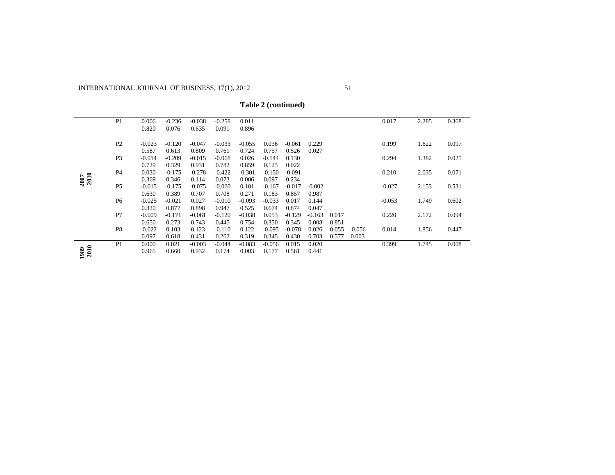| Table 2 (continued) |  |
|---------------------|--|
|---------------------|--|

|              | P1             | 0.006    | $-0.236$ | $-0.038$ | $-0.258$ | 0.011    |          |          |          |       |          | 0.017    | 2.285 | 0.368 |
|--------------|----------------|----------|----------|----------|----------|----------|----------|----------|----------|-------|----------|----------|-------|-------|
|              |                | 0.820    | 0.076    | 0.635    | 0.091    | 0.896    |          |          |          |       |          |          |       |       |
|              | P <sub>2</sub> | $-0.023$ | $-0.120$ | $-0.047$ | $-0.033$ | $-0.055$ | 0.036    | $-0.061$ | 0.229    |       |          | 0.199    | 1.622 | 0.097 |
|              |                | 0.587    | 0.613    | 0.809    | 0.761    | 0.724    | 0.757    | 0.526    | 0.027    |       |          |          |       |       |
|              | P <sub>3</sub> | $-0.014$ | $-0.209$ | $-0.015$ | $-0.068$ | 0.026    | $-0.144$ | 0.130    |          |       |          | 0.294    | 1.382 | 0.025 |
|              |                | 0.729    | 0.329    | 0.931    | 0.782    | 0.859    | 0.123    | 0.022    |          |       |          |          |       |       |
|              | P <sub>4</sub> | 0.030    | $-0.175$ | $-0.278$ | $-0.422$ | $-0.301$ | $-0.150$ | $-0.091$ |          |       |          | 0.210    | 2.035 | 0.071 |
| 2010<br>2007 |                | 0.369    | 0.346    | 0.114    | 0.073    | 0.006    | 0.097    | 0.234    |          |       |          |          |       |       |
|              | P <sub>5</sub> | $-0.015$ | $-0.175$ | $-0.075$ | $-0.060$ | 0.101    | $-0.167$ | $-0.017$ | $-0.002$ |       |          | $-0.027$ | 2.153 | 0.531 |
|              |                | 0.630    | 0.389    | 0.707    | 0.708    | 0.271    | 0.183    | 0.857    | 0.987    |       |          |          |       |       |
|              | P <sub>6</sub> | $-0.025$ | $-0.021$ | 0.027    | $-0.010$ | $-0.093$ | $-0.033$ | 0.017    | 0.144    |       |          | $-0.053$ | 1.749 | 0.602 |
|              |                | 0.320    | 0.877    | 0.898    | 0.947    | 0.525    | 0.674    | 0.874    | 0.047    |       |          |          |       |       |
|              | P7             | $-0.009$ | $-0.171$ | $-0.061$ | $-0.120$ | $-0.038$ | 0.053    | $-0.129$ | $-0.163$ | 0.017 |          | 0.220    | 2.172 | 0.094 |
|              |                | 0.650    | 0.273    | 0.743    | 0.445    | 0.754    | 0.350    | 0.345    | 0.008    | 0.851 |          |          |       |       |
|              | P8             | $-0.022$ | 0.103    | 0.123    | $-0.110$ | 0.122    | $-0.095$ | $-0.078$ | 0.026    | 0.055 | $-0.056$ | 0.014    | 1.856 | 0.447 |
|              |                | 0.097    | 0.618    | 0.431    | 0.262    | 0.319    | 0.345    | 0.430    | 0.703    | 0.577 | 0.603    |          |       |       |
|              | P <sub>1</sub> | 0.000    | 0.021    | $-0.003$ | $-0.044$ | $-0.083$ | $-0.056$ | 0.015    | 0.020    |       |          | 0.399    | 1.745 | 0.008 |
| 2010<br>1989 |                | 0.965    | 0.660    | 0.932    | 0.174    | 0.003    | 0.177    | 0.561    | 0.441    |       |          |          |       |       |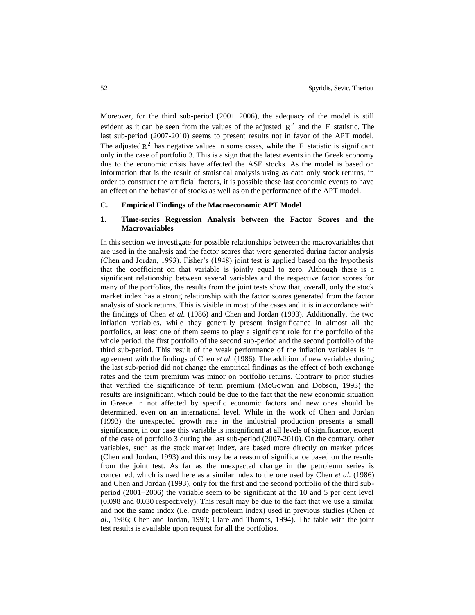Moreover, for the third sub-period (2001−2006), the adequacy of the model is still evident as it can be seen from the values of the adjusted  $R^2$  and the F statistic. The last sub-period (2007-2010) seems to present results not in favor of the APT model. The adjusted  $R^2$  has negative values in some cases, while the F statistic is significant only in the case of portfolio 3. This is a sign that the latest events in the Greek economy due to the economic crisis have affected the ASE stocks. As the model is based on information that is the result of statistical analysis using as data only stock returns, in order to construct the artificial factors, it is possible these last economic events to have an effect on the behavior of stocks as well as on the performance of the APT model.

# **C. Empirical Findings of the Macroeconomic APT Model**

# **1. Time-series Regression Analysis between the Factor Scores and the Macrovariables**

In this section we investigate for possible relationships between the macrovariables that are used in the analysis and the factor scores that were generated during factor analysis (Chen and Jordan, 1993). Fisher's (1948) joint test is applied based on the hypothesis that the coefficient on that variable is jointly equal to zero. Although there is a significant relationship between several variables and the respective factor scores for many of the portfolios, the results from the joint tests show that, overall, only the stock market index has a strong relationship with the factor scores generated from the factor analysis of stock returns. This is visible in most of the cases and it is in accordance with the findings of Chen *et al.* (1986) and Chen and Jordan (1993). Additionally, the two inflation variables, while they generally present insignificance in almost all the portfolios, at least one of them seems to play a significant role for the portfolio of the whole period, the first portfolio of the second sub-period and the second portfolio of the third sub-period. This result of the weak performance of the inflation variables is in agreement with the findings of Chen *et al.* (1986). The addition of new variables during the last sub-period did not change the empirical findings as the effect of both exchange rates and the term premium was minor on portfolio returns. Contrary to prior studies that verified the significance of term premium (McGowan and Dobson, 1993) the results are insignificant, which could be due to the fact that the new economic situation in Greece in not affected by specific economic factors and new ones should be determined, even on an international level. While in the work of Chen and Jordan (1993) the unexpected growth rate in the industrial production presents a small significance, in our case this variable is insignificant at all levels of significance, except of the case of portfolio 3 during the last sub-period (2007-2010). On the contrary, other variables, such as the stock market index, are based more directly on market prices (Chen and Jordan, 1993) and this may be a reason of significance based on the results from the joint test. As far as the unexpected change in the petroleum series is concerned, which is used here as a similar index to the one used by Chen *et al.* (1986) and Chen and Jordan (1993), only for the first and the second portfolio of the third subperiod (2001−2006) the variable seem to be significant at the 10 and 5 per cent level (0.098 and 0.030 respectively). This result may be due to the fact that we use a similar and not the same index (i.e. crude petroleum index) used in previous studies (Chen *et al.*, 1986; Chen and Jordan, 1993; Clare and Thomas, 1994). The table with the joint test results is available upon request for all the portfolios.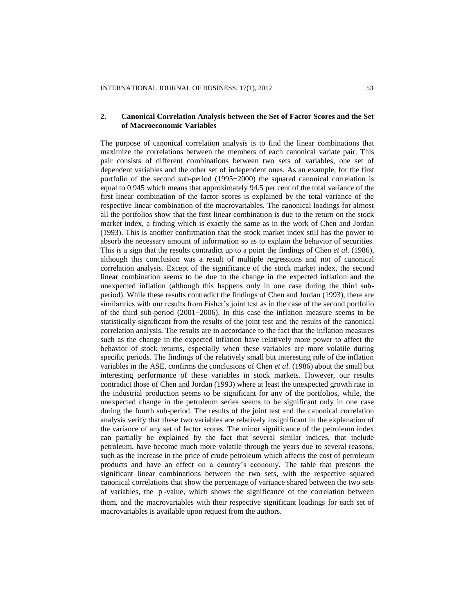# **2. Canonical Correlation Analysis between the Set of Factor Scores and the Set of Macroeconomic Variables**

The purpose of canonical correlation analysis is to find the linear combinations that maximize the correlations between the members of each canonical variate pair. This pair consists of different combinations between two sets of variables, one set of dependent variables and the other set of independent ones. As an example, for the first portfolio of the second sub-period (1995−2000) the squared canonical correlation is equal to 0.945 which means that approximately 94.5 per cent of the total variance of the first linear combination of the factor scores is explained by the total variance of the respective linear combination of the macrovariables. The canonical loadings for almost all the portfolios show that the first linear combination is due to the return on the stock market index, a finding which is exactly the same as in the work of Chen and Jordan (1993). This is another confirmation that the stock market index still has the power to absorb the necessary amount of information so as to explain the behavior of securities. This is a sign that the results contradict up to a point the findings of Chen *et al*. (1986), although this conclusion was a result of multiple regressions and not of canonical correlation analysis. Except of the significance of the stock market index, the second linear combination seems to be due to the change in the expected inflation and the unexpected inflation (although this happens only in one case during the third subperiod). While these results contradict the findings of Chen and Jordan (1993), there are similarities with our results from Fisher's joint test as in the case of the second portfolio of the third sub-period (2001−2006). In this case the inflation measure seems to be statistically significant from the results of the joint test and the results of the canonical correlation analysis. The results are in accordance to the fact that the inflation measures such as the change in the expected inflation have relatively more power to affect the behavior of stock returns, especially when these variables are more volatile during specific periods. The findings of the relatively small but interesting role of the inflation variables in the ASE, confirms the conclusions of Chen *et al.* (1986) about the small but interesting performance of these variables in stock markets. However, our results contradict those of Chen and Jordan (1993) where at least the unexpected growth rate in the industrial production seems to be significant for any of the portfolios, while, the unexpected change in the petroleum series seems to be significant only in one case during the fourth sub-period. The results of the joint test and the canonical correlation analysis verify that these two variables are relatively insignificant in the explanation of the variance of any set of factor scores. The minor significance of the petroleum index can partially be explained by the fact that several similar indices, that include petroleum, have become much more volatile through the years due to several reasons, such as the increase in the price of crude petroleum which affects the cost of petroleum products and have an effect on a country's economy. The table that presents the significant linear combinations between the two sets, with the respective squared canonical correlations that show the percentage of variance shared between the two sets of variables*,* the p -value, which shows the significance of the correlation between them, and the macrovariables with their respective significant loadings for each set of macrovariables is available upon request from the authors.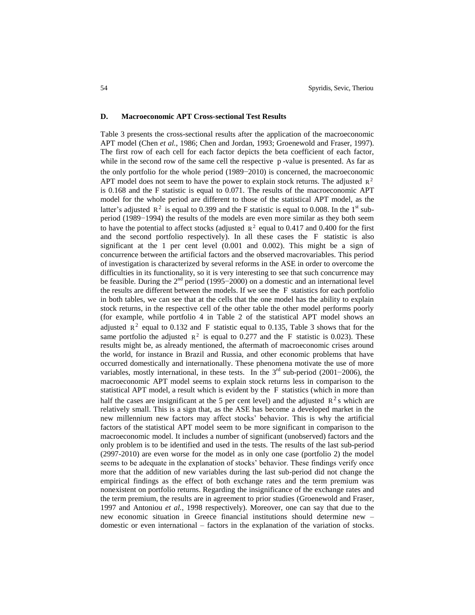#### **D. Macroeconomic APT Cross-sectional Test Results**

Table 3 presents the cross-sectional results after the application of the macroeconomic APT model (Chen *et al.*, 1986; Chen and Jordan, 1993; Groenewold and Fraser, 1997). The first row of each cell for each factor depicts the beta coefficient of each factor, while in the second row of the same cell the respective p-value is presented. As far as the only portfolio for the whole period (1989−2010) is concerned, the macroeconomic APT model does not seem to have the power to explain stock returns. The adjusted  $R^2$ is 0.168 and the F statistic is equal to 0.071. The results of the macroeconomic APT model for the whole period are different to those of the statistical APT model, as the latter's adjusted  $R^2$  is equal to 0.399 and the F statistic is equal to 0.008. In the 1<sup>st</sup> subperiod (1989−1994) the results of the models are even more similar as they both seem to have the potential to affect stocks (adjusted  $\mathbb{R}^2$  equal to 0.417 and 0.400 for the first and the second portfolio respectively). In all these cases the F statistic is also significant at the 1 per cent level (0.001 and 0.002). This might be a sign of concurrence between the artificial factors and the observed macrovariables. This period of investigation is characterized by several reforms in the ASE in order to overcome the difficulties in its functionality, so it is very interesting to see that such concurrence may be feasible. During the  $2<sup>nd</sup>$  period (1995−2000) on a domestic and an international level the results are different between the models. If we see the F statistics for each portfolio in both tables, we can see that at the cells that the one model has the ability to explain stock returns, in the respective cell of the other table the other model performs poorly (for example, while portfolio 4 in Table 2 of the statistical APT model shows an adjusted  $R^2$  equal to 0.132 and F statistic equal to 0.135, Table 3 shows that for the same portfolio the adjusted  $R^2$  is equal to 0.277 and the F statistic is 0.023). These results might be, as already mentioned, the aftermath of macroeconomic crises around the world, for instance in Brazil and Russia, and other economic problems that have occurred domestically and internationally. These phenomena motivate the use of more variables, mostly international, in these tests. In the  $3<sup>rd</sup>$  sub-period (2001−2006), the macroeconomic APT model seems to explain stock returns less in comparison to the statistical APT model, a result which is evident by the F statistics (which in more than half the cases are insignificant at the 5 per cent level) and the adjusted  $R^2$ s which are relatively small. This is a sign that, as the ASE has become a developed market in the new millennium new factors may affect stocks' behavior. This is why the artificial factors of the statistical APT model seem to be more significant in comparison to the macroeconomic model. It includes a number of significant (unobserved) factors and the only problem is to be identified and used in the tests. The results of the last sub-period (2997-2010) are even worse for the model as in only one case (portfolio 2) the model seems to be adequate in the explanation of stocks' behavior. These findings verify once more that the addition of new variables during the last sub-period did not change the empirical findings as the effect of both exchange rates and the term premium was nonexistent on portfolio returns. Regarding the insignificance of the exchange rates and the term premium, the results are in agreement to prior studies (Groenewold and Fraser, 1997 and Antoniou *et al.*, 1998 respectively). Moreover, one can say that due to the new economic situation in Greece financial institutions should determine new – domestic or even international – factors in the explanation of the variation of stocks.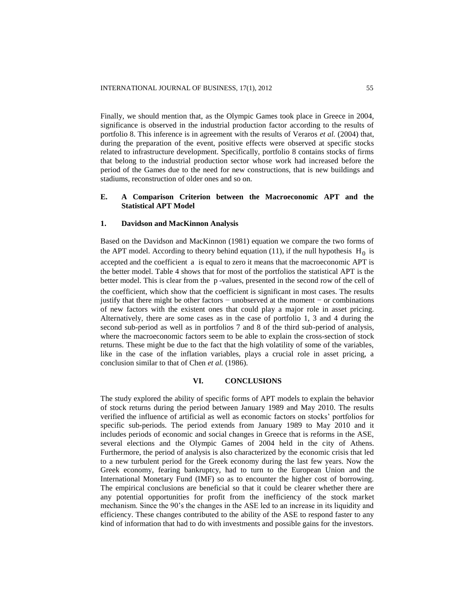Finally, we should mention that, as the Olympic Games took place in Greece in 2004, significance is observed in the industrial production factor according to the results of portfolio 8. This inference is in agreement with the results of Veraros *et al.* (2004) that, during the preparation of the event, positive effects were observed at specific stocks related to infrastructure development. Specifically, portfolio 8 contains stocks of firms that belong to the industrial production sector whose work had increased before the period of the Games due to the need for new constructions, that is new buildings and stadiums, reconstruction of older ones and so on.

# **E. A Comparison Criterion between the Macroeconomic APT and the Statistical APT Model**

#### **1. Davidson and MacKinnon Analysis**

Based on the Davidson and MacKinnon (1981) equation we compare the two forms of the APT model. According to theory behind equation (11), if the null hypothesis  $H_0$  is accepted and the coefficient a is equal to zero it means that the macroeconomic APT is the better model. Table 4 shows that for most of the portfolios the statistical APT is the better model. This is clear from the p -values, presented in the second row of the cell of the coefficient, which show that the coefficient is significant in most cases. The results justify that there might be other factors − unobserved at the moment − or combinations of new factors with the existent ones that could play a major role in asset pricing. Alternatively, there are some cases as in the case of portfolio 1, 3 and 4 during the second sub-period as well as in portfolios 7 and 8 of the third sub-period of analysis, where the macroeconomic factors seem to be able to explain the cross-section of stock returns. These might be due to the fact that the high volatility of some of the variables, like in the case of the inflation variables, plays a crucial role in asset pricing, a conclusion similar to that of Chen *et al.* (1986).

## **VI. CONCLUSIONS**

The study explored the ability of specific forms of APT models to explain the behavior of stock returns during the period between January 1989 and May 2010. The results verified the influence of artificial as well as economic factors on stocks' portfolios for specific sub-periods. The period extends from January 1989 to May 2010 and it includes periods of economic and social changes in Greece that is reforms in the ASE, several elections and the Olympic Games of 2004 held in the city of Athens. Furthermore, the period of analysis is also characterized by the economic crisis that led to a new turbulent period for the Greek economy during the last few years. Now the Greek economy, fearing bankruptcy, had to turn to the European Union and the International Monetary Fund (IMF) so as to encounter the higher cost of borrowing. The empirical conclusions are beneficial so that it could be clearer whether there are any potential opportunities for profit from the inefficiency of the stock market mechanism. Since the 90's the changes in the ASE led to an increase in its liquidity and efficiency. These changes contributed to the ability of the ASE to respond faster to any kind of information that had to do with investments and possible gains for the investors.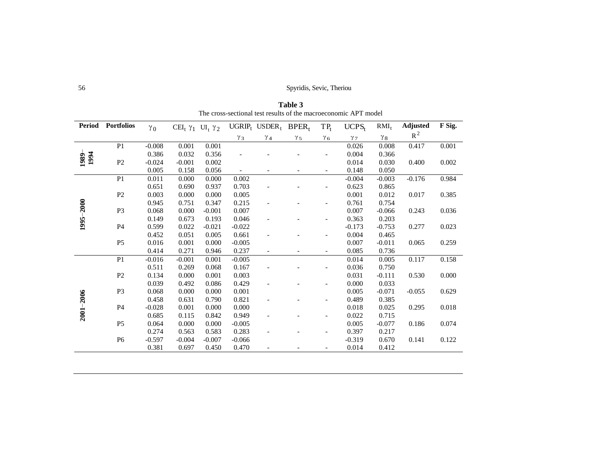| Period        | <b>Portfolios</b> | $\gamma_0$ | CEI <sub>t</sub> $\gamma_1$ UI <sub>t</sub> $\gamma_2$ |          |            | UGRIP <sub>t</sub> USDER <sub>t</sub> BPER <sub>t</sub> |            | $TP_t$     | UCPS <sub>t</sub>     | $RMI_t$    | <b>Adjusted</b> | F Sig. |
|---------------|-------------------|------------|--------------------------------------------------------|----------|------------|---------------------------------------------------------|------------|------------|-----------------------|------------|-----------------|--------|
|               |                   |            |                                                        |          | $\gamma_3$ | $\gamma_4$                                              | $\gamma_5$ | $\gamma_6$ | $\gamma$ <sub>7</sub> | $\gamma_8$ | $R^2$           |        |
|               | P1                | $-0.008$   | 0.001                                                  | 0.001    |            |                                                         |            |            | 0.026                 | 0.008      | 0.417           | 0.001  |
| 1994          |                   | 0.386      | 0.032                                                  | 0.356    |            |                                                         |            |            | 0.004                 | 0.366      |                 |        |
| 1989          | P2                | $-0.024$   | $-0.001$                                               | 0.002    |            |                                                         |            |            | 0.014                 | 0.030      | 0.400           | 0.002  |
|               |                   | 0.005      | 0.158                                                  | 0.056    |            |                                                         |            |            | 0.148                 | 0.050      |                 |        |
|               | P <sub>1</sub>    | 0.011      | 0.000                                                  | 0.000    | 0.002      |                                                         |            |            | $-0.004$              | $-0.003$   | $-0.176$        | 0.984  |
|               |                   | 0.651      | 0.690                                                  | 0.937    | 0.703      |                                                         |            |            | 0.623                 | 0.865      |                 |        |
|               | P <sub>2</sub>    | 0.003      | 0.000                                                  | 0.000    | 0.005      |                                                         |            |            | 0.001                 | 0.012      | 0.017           | 0.385  |
|               |                   | 0.945      | 0.751                                                  | 0.347    | 0.215      |                                                         |            |            | 0.761                 | 0.754      |                 |        |
| 1995-2000     | P <sub>3</sub>    | 0.068      | 0.000                                                  | $-0.001$ | 0.007      |                                                         |            |            | 0.007                 | $-0.066$   | 0.243           | 0.036  |
|               |                   | 0.149      | 0.673                                                  | 0.193    | 0.046      |                                                         |            |            | 0.363                 | 0.203      |                 |        |
|               | P <sub>4</sub>    | 0.599      | 0.022                                                  | $-0.021$ | $-0.022$   |                                                         |            |            | $-0.173$              | $-0.753$   | 0.277           | 0.023  |
|               |                   | 0.452      | 0.051                                                  | 0.005    | 0.661      |                                                         |            |            | 0.004                 | 0.465      |                 |        |
|               | P <sub>5</sub>    | 0.016      | 0.001                                                  | 0.000    | $-0.005$   |                                                         |            |            | 0.007                 | $-0.011$   | 0.065           | 0.259  |
|               |                   | 0.414      | 0.271                                                  | 0.946    | 0.237      |                                                         |            |            | 0.085                 | 0.736      |                 |        |
|               | P <sub>1</sub>    | $-0.016$   | $-0.001$                                               | 0.001    | $-0.005$   |                                                         |            |            | 0.014                 | 0.005      | 0.117           | 0.158  |
|               |                   | 0.511      | 0.269                                                  | 0.068    | 0.167      |                                                         |            |            | 0.036                 | 0.750      |                 |        |
|               | P <sub>2</sub>    | 0.134      | 0.000                                                  | 0.001    | 0.003      |                                                         |            |            | 0.031                 | $-0.111$   | 0.530           | 0.000  |
|               |                   | 0.039      | 0.492                                                  | 0.086    | 0.429      |                                                         |            |            | 0.000                 | 0.033      |                 |        |
|               | P <sub>3</sub>    | 0.068      | 0.000                                                  | 0.000    | 0.001      |                                                         |            |            | 0.005                 | $-0.071$   | $-0.055$        | 0.629  |
| $2001 - 2006$ |                   | 0.458      | 0.631                                                  | 0.790    | 0.821      |                                                         |            |            | 0.489                 | 0.385      |                 |        |
|               | P <sub>4</sub>    | $-0.028$   | 0.001                                                  | 0.000    | 0.000      |                                                         |            |            | 0.018                 | 0.025      | 0.295           | 0.018  |
|               |                   | 0.685      | 0.115                                                  | 0.842    | 0.949      |                                                         |            |            | 0.022                 | 0.715      |                 |        |
|               | P <sub>5</sub>    | 0.064      | 0.000                                                  | 0.000    | $-0.005$   |                                                         |            |            | 0.005                 | $-0.077$   | 0.186           | 0.074  |
|               |                   | 0.274      | 0.563                                                  | 0.583    | 0.283      |                                                         |            |            | 0.397                 | 0.217      |                 |        |
|               | P <sub>6</sub>    | $-0.597$   | $-0.004$                                               | $-0.007$ | $-0.066$   |                                                         |            |            | $-0.319$              | 0.670      | 0.141           | 0.122  |
|               |                   | 0.381      | 0.697                                                  | 0.450    | 0.470      |                                                         |            |            | 0.014                 | 0.412      |                 |        |

**Table 3** The cross-sectional test results of the macroeconomic APT model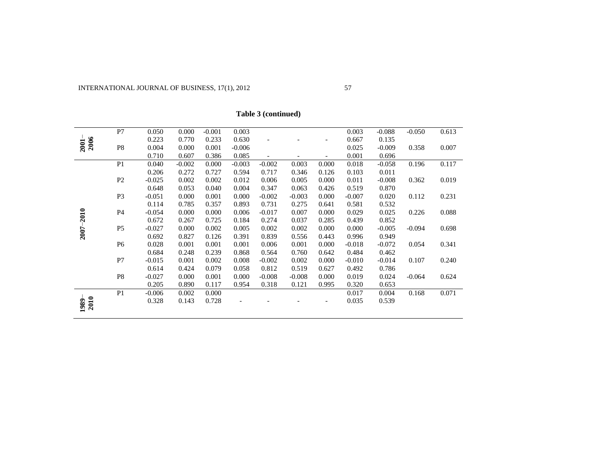|              | P7             | 0.050    | 0.000    | $-0.001$ | 0.003    |                          |          |                          | 0.003    | $-0.088$ | $-0.050$ | 0.613 |
|--------------|----------------|----------|----------|----------|----------|--------------------------|----------|--------------------------|----------|----------|----------|-------|
|              |                | 0.223    | 0.770    | 0.233    | 0.630    |                          |          |                          | 0.667    | 0.135    |          |       |
| 2006<br>2001 | P <sub>8</sub> | 0.004    | 0.000    | 0.001    | $-0.006$ |                          |          |                          | 0.025    | $-0.009$ | 0.358    | 0.007 |
|              |                | 0.710    | 0.607    | 0.386    | 0.085    | $\overline{\phantom{a}}$ |          | $\overline{\phantom{a}}$ | 0.001    | 0.696    |          |       |
|              | P <sub>1</sub> | 0.040    | $-0.002$ | 0.000    | $-0.003$ | $-0.002$                 | 0.003    | 0.000                    | 0.018    | $-0.058$ | 0.196    | 0.117 |
|              |                | 0.206    | 0.272    | 0.727    | 0.594    | 0.717                    | 0.346    | 0.126                    | 0.103    | 0.011    |          |       |
|              | $\mathbf{P}2$  | $-0.025$ | 0.002    | 0.002    | 0.012    | 0.006                    | 0.005    | 0.000                    | 0.011    | $-0.008$ | 0.362    | 0.019 |
|              |                | 0.648    | 0.053    | 0.040    | 0.004    | 0.347                    | 0.063    | 0.426                    | 0.519    | 0.870    |          |       |
|              | P <sub>3</sub> | $-0.051$ | 0.000    | 0.001    | 0.000    | $-0.002$                 | $-0.003$ | 0.000                    | $-0.007$ | 0.020    | 0.112    | 0.231 |
|              |                | 0.114    | 0.785    | 0.357    | 0.893    | 0.731                    | 0.275    | 0.641                    | 0.581    | 0.532    |          |       |
| $-2010$      | P4             | $-0.054$ | 0.000    | 0.000    | 0.006    | $-0.017$                 | 0.007    | 0.000                    | 0.029    | 0.025    | 0.226    | 0.088 |
|              |                | 0.672    | 0.267    | 0.725    | 0.184    | 0.274                    | 0.037    | 0.285                    | 0.439    | 0.852    |          |       |
| $2007 -$     | P <sub>5</sub> | $-0.027$ | 0.000    | 0.002    | 0.005    | 0.002                    | 0.002    | 0.000                    | 0.000    | $-0.005$ | $-0.094$ | 0.698 |
|              |                | 0.692    | 0.827    | 0.126    | 0.391    | 0.839                    | 0.556    | 0.443                    | 0.996    | 0.949    |          |       |
|              | P <sub>6</sub> | 0.028    | 0.001    | 0.001    | 0.001    | 0.006                    | 0.001    | 0.000                    | $-0.018$ | $-0.072$ | 0.054    | 0.341 |
|              |                | 0.684    | 0.248    | 0.239    | 0.868    | 0.564                    | 0.760    | 0.642                    | 0.484    | 0.462    |          |       |
|              | P7             | $-0.015$ | 0.001    | 0.002    | 0.008    | $-0.002$                 | 0.002    | 0.000                    | $-0.010$ | $-0.014$ | 0.107    | 0.240 |
|              |                | 0.614    | 0.424    | 0.079    | 0.058    | 0.812                    | 0.519    | 0.627                    | 0.492    | 0.786    |          |       |
|              | P <sub>8</sub> | $-0.027$ | 0.000    | 0.001    | 0.000    | $-0.008$                 | $-0.008$ | 0.000                    | 0.019    | 0.024    | $-0.064$ | 0.624 |
|              |                | 0.205    | 0.890    | 0.117    | 0.954    | 0.318                    | 0.121    | 0.995                    | 0.320    | 0.653    |          |       |
|              | P <sub>1</sub> | $-0.006$ | 0.002    | 0.000    |          |                          |          |                          | 0.017    | 0.004    | 0.168    | 0.071 |
| 2010<br>1989 |                | 0.328    | 0.143    | 0.728    |          |                          |          |                          | 0.035    | 0.539    |          |       |
|              |                |          |          |          |          |                          |          |                          |          |          |          |       |

**Table 3 (continued)**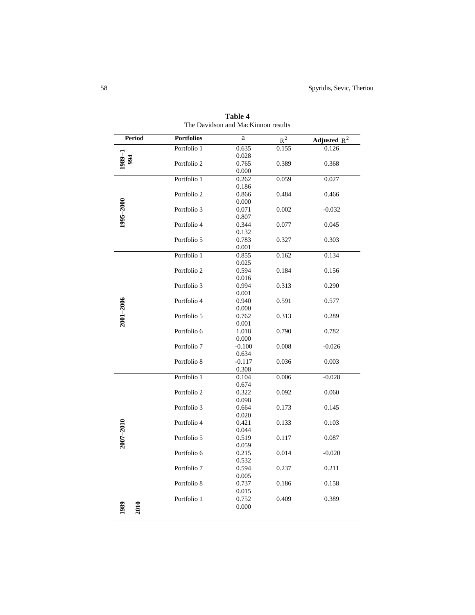| <b>Period</b> | <b>Portfolios</b> | $\rm{a}$ | $\mathbf{R}^{\,2}$ | Adjusted $R^2$ |
|---------------|-------------------|----------|--------------------|----------------|
|               | Portfolio 1       | 0.635    | 0.155              | 0.126          |
| 94            |                   | 0.028    |                    |                |
|               | Portfolio 2       | 0.765    | 0.389              | 0.368          |
|               |                   | 0.000    |                    |                |
|               | Portfolio 1       | 0.262    | 0.059              | 0.027          |
|               |                   | 0.186    |                    |                |
|               | Portfolio 2       | 0.866    | 0.484              | 0.466          |
| 1995-2000     |                   | 0.000    |                    |                |
|               | Portfolio 3       | 0.071    | 0.002              | $-0.032$       |
|               |                   | 0.807    |                    |                |
|               | Portfolio 4       | 0.344    | 0.077              | 0.045          |
|               |                   | 0.132    |                    |                |
|               | Portfolio 5       | 0.783    | 0.327              | 0.303          |
|               |                   | 0.001    |                    |                |
|               | Portfolio 1       | 0.855    | 0.162              | 0.134          |
|               |                   | 0.025    |                    |                |
|               | Portfolio 2       | 0.594    | 0.184              | 0.156          |
|               |                   | 0.016    |                    |                |
|               | Portfolio 3       | 0.994    | 0.313              | 0.290          |
|               |                   | 0.001    |                    |                |
| $2001 - 2006$ | Portfolio 4       | 0.940    | 0.591              | 0.577          |
|               |                   | 0.000    |                    |                |
|               | Portfolio 5       | 0.762    | 0.313              | 0.289          |
|               |                   | 0.001    |                    |                |
|               | Portfolio 6       | 1.018    | 0.790              | 0.782          |
|               |                   | 0.000    |                    |                |
|               | Portfolio 7       | $-0.100$ | 0.008              | $-0.026$       |
|               |                   | 0.634    |                    |                |
|               | Portfolio 8       | $-0.117$ | 0.036              | 0.003          |
|               |                   | 0.308    |                    |                |
|               | Portfolio 1       | 0.104    | 0.006              | $-0.028$       |
|               |                   | 0.674    |                    |                |
|               | Portfolio 2       | 0.322    | 0.092              | 0.060          |
|               |                   | 0.098    |                    |                |
|               | Portfolio 3       | 0.664    | 0.173              | 0.145          |
|               |                   | 0.020    |                    |                |
|               | Portfolio 4       | 0.421    | 0.133              | 0.103          |
| $2007 - 2010$ |                   | 0.044    |                    |                |
|               | Portfolio 5       | 0.519    | 0.117              | 0.087          |
|               |                   | 0.059    |                    |                |
|               | Portfolio 6       | 0.215    | 0.014              | $-0.020$       |
|               |                   | 0.532    |                    |                |
|               | Portfolio 7       | 0.594    | 0.237              | 0.211          |
|               |                   | 0.005    |                    |                |
|               | Portfolio 8       | 0.737    | 0.186              | 0.158          |
|               |                   | 0.015    |                    |                |
|               | Portfolio 1       | 0.752    | 0.409              | 0.389          |
| 2010          |                   | 0.000    |                    |                |

**Table 4** The Davidson and MacKinnon results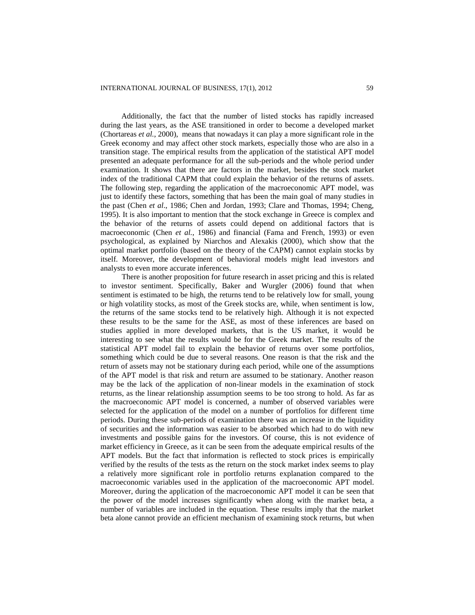Additionally, the fact that the number of listed stocks has rapidly increased during the last years, as the ASE transitioned in order to become a developed market (Chortareas *et al.*, 2000), means that nowadays it can play a more significant role in the Greek economy and may affect other stock markets, especially those who are also in a transition stage. The empirical results from the application of the statistical APT model presented an adequate performance for all the sub-periods and the whole period under examination. It shows that there are factors in the market, besides the stock market index of the traditional CAPM that could explain the behavior of the returns of assets. The following step, regarding the application of the macroeconomic APT model, was just to identify these factors, something that has been the main goal of many studies in the past (Chen *et al*., 1986; Chen and Jordan, 1993; Clare and Thomas, 1994; Cheng, 1995). It is also important to mention that the stock exchange in Greece is complex and the behavior of the returns of assets could depend on additional factors that is macroeconomic (Chen *et al.*, 1986) and financial (Fama and French, 1993) or even psychological, as explained by Niarchos and Alexakis (2000), which show that the optimal market portfolio (based on the theory of the CAPM) cannot explain stocks by itself. Moreover, the development of behavioral models might lead investors and analysts to even more accurate inferences.

There is another proposition for future research in asset pricing and this is related to investor sentiment. Specifically, Baker and Wurgler (2006) found that when sentiment is estimated to be high, the returns tend to be relatively low for small, young or high volatility stocks, as most of the Greek stocks are, while, when sentiment is low, the returns of the same stocks tend to be relatively high. Although it is not expected these results to be the same for the ASE, as most of these inferences are based on studies applied in more developed markets, that is the US market, it would be interesting to see what the results would be for the Greek market. The results of the statistical APT model fail to explain the behavior of returns over some portfolios, something which could be due to several reasons. One reason is that the risk and the return of assets may not be stationary during each period, while one of the assumptions of the APT model is that risk and return are assumed to be stationary. Another reason may be the lack of the application of non-linear models in the examination of stock returns, as the linear relationship assumption seems to be too strong to hold. As far as the macroeconomic APT model is concerned, a number of observed variables were selected for the application of the model on a number of portfolios for different time periods. During these sub-periods of examination there was an increase in the liquidity of securities and the information was easier to be absorbed which had to do with new investments and possible gains for the investors. Of course, this is not evidence of market efficiency in Greece, as it can be seen from the adequate empirical results of the APT models. But the fact that information is reflected to stock prices is empirically verified by the results of the tests as the return on the stock market index seems to play a relatively more significant role in portfolio returns explanation compared to the macroeconomic variables used in the application of the macroeconomic APT model. Moreover, during the application of the macroeconomic APT model it can be seen that the power of the model increases significantly when along with the market beta, a number of variables are included in the equation. These results imply that the market beta alone cannot provide an efficient mechanism of examining stock returns, but when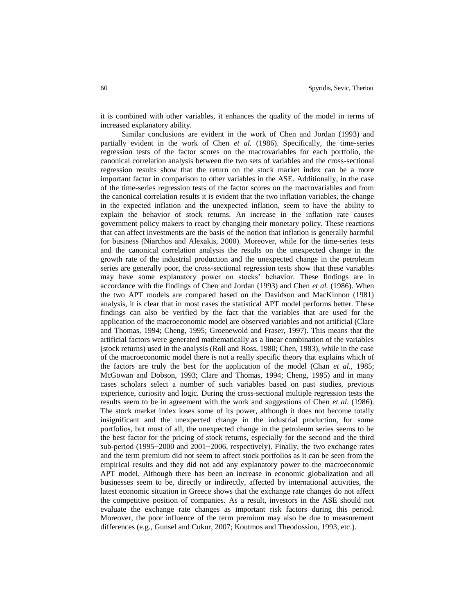it is combined with other variables, it enhances the quality of the model in terms of increased explanatory ability.

Similar conclusions are evident in the work of Chen and Jordan (1993) and partially evident in the work of Chen *et al.* (1986). Specifically, the time-series regression tests of the factor scores on the macrovariables for each portfolio, the canonical correlation analysis between the two sets of variables and the cross-sectional regression results show that the return on the stock market index can be a more important factor in comparison to other variables in the ASE. Additionally, in the case of the time-series regression tests of the factor scores on the macrovariables and from the canonical correlation results it is evident that the two inflation variables, the change in the expected inflation and the unexpected inflation, seem to have the ability to explain the behavior of stock returns. An increase in the inflation rate causes government policy makers to react by changing their monetary policy. These reactions that can affect investments are the basis of the notion that inflation is generally harmful for business (Niarchos and Alexakis, 2000). Moreover, while for the time-series tests and the canonical correlation analysis the results on the unexpected change in the growth rate of the industrial production and the unexpected change in the petroleum series are generally poor, the cross-sectional regression tests show that these variables may have some explanatory power on stocks' behavior. These findings are in accordance with the findings of Chen and Jordan (1993) and Chen *et al.* (1986). When the two APT models are compared based on the Davidson and MacKinnon (1981) analysis, it is clear that in most cases the statistical APT model performs better. These findings can also be verified by the fact that the variables that are used for the application of the macroeconomic model are observed variables and not artificial (Clare and Thomas, 1994; Cheng, 1995; Groenewold and Fraser, 1997). This means that the artificial factors were generated mathematically as a linear combination of the variables (stock returns) used in the analysis (Roll and Ross, 1980; Chen, 1983), while in the case of the macroeconomic model there is not a really specific theory that explains which of the factors are truly the best for the application of the model (Chan *et al.*, 1985; McGowan and Dobson, 1993; Clare and Thomas, 1994; Cheng, 1995) and in many cases scholars select a number of such variables based on past studies, previous experience, curiosity and logic. During the cross-sectional multiple regression tests the results seem to be in agreement with the work and suggestions of Chen *et al.* (1986). The stock market index loses some of its power, although it does not become totally insignificant and the unexpected change in the industrial production, for some portfolios, but most of all, the unexpected change in the petroleum series seems to be the best factor for the pricing of stock returns, especially for the second and the third sub-period (1995−2000 and 2001−2006, respectively). Finally, the two exchange rates and the term premium did not seem to affect stock portfolios as it can be seen from the empirical results and they did not add any explanatory power to the macroeconomic APT model. Although there has been an increase in economic globalization and all businesses seem to be, directly or indirectly, affected by international activities, the latest economic situation in Greece shows that the exchange rate changes do not affect the competitive position of companies. As a result, investors in the ASE should not evaluate the exchange rate changes as important risk factors during this period. Moreover, the poor influence of the term premium may also be due to measurement differences (e.g., Gunsel and Cukur, 2007; Koutmos and Theodossiou, 1993, etc.).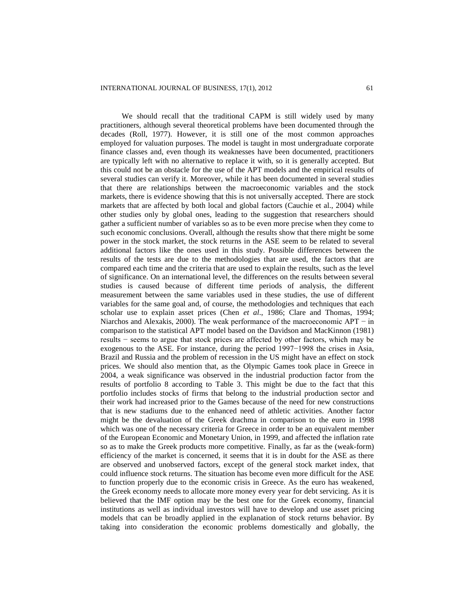We should recall that the traditional CAPM is still widely used by many practitioners, although several theoretical problems have been documented through the decades (Roll, 1977). However, it is still one of the most common approaches employed for valuation purposes. The model is taught in most undergraduate corporate finance classes and, even though its weaknesses have been documented, practitioners are typically left with no alternative to replace it with, so it is generally accepted. But this could not be an obstacle for the use of the APT models and the empirical results of several studies can verify it. Moreover, while it has been documented in several studies that there are relationships between the macroeconomic variables and the stock markets, there is evidence showing that this is not universally accepted. There are stock markets that are affected by both local and global factors (Cauchie et al., 2004) while other studies only by global ones, leading to the suggestion that researchers should gather a sufficient number of variables so as to be even more precise when they come to such economic conclusions. Overall, although the results show that there might be some power in the stock market, the stock returns in the ASE seem to be related to several additional factors like the ones used in this study. Possible differences between the results of the tests are due to the methodologies that are used, the factors that are compared each time and the criteria that are used to explain the results, such as the level of significance. On an international level, the differences on the results between several studies is caused because of different time periods of analysis, the different measurement between the same variables used in these studies, the use of different variables for the same goal and, of course, the methodologies and techniques that each scholar use to explain asset prices (Chen *et al*., 1986; Clare and Thomas, 1994; Niarchos and Alexakis, 2000). The weak performance of the macroeconomic APT − in comparison to the statistical APT model based on the Davidson and MacKinnon (1981) results − seems to argue that stock prices are affected by other factors, which may be exogenous to the ASE. For instance, during the period 1997−1998 the crises in Asia, Brazil and Russia and the problem of recession in the US might have an effect on stock prices. We should also mention that, as the Olympic Games took place in Greece in 2004, a weak significance was observed in the industrial production factor from the results of portfolio 8 according to Table 3. This might be due to the fact that this portfolio includes stocks of firms that belong to the industrial production sector and their work had increased prior to the Games because of the need for new constructions that is new stadiums due to the enhanced need of athletic activities. Another factor might be the devaluation of the Greek drachma in comparison to the euro in 1998 which was one of the necessary criteria for Greece in order to be an equivalent member of the European Economic and Monetary Union, in 1999, and affected the inflation rate so as to make the Greek products more competitive. Finally, as far as the (weak-form) efficiency of the market is concerned, it seems that it is in doubt for the ASE as there are observed and unobserved factors, except of the general stock market index, that could influence stock returns. The situation has become even more difficult for the ASE to function properly due to the economic crisis in Greece. As the euro has weakened, the Greek economy needs to allocate more money every year for debt servicing. As it is believed that the IMF option may be the best one for the Greek economy, financial institutions as well as individual investors will have to develop and use asset pricing models that can be broadly applied in the explanation of stock returns behavior. By taking into consideration the economic problems domestically and globally, the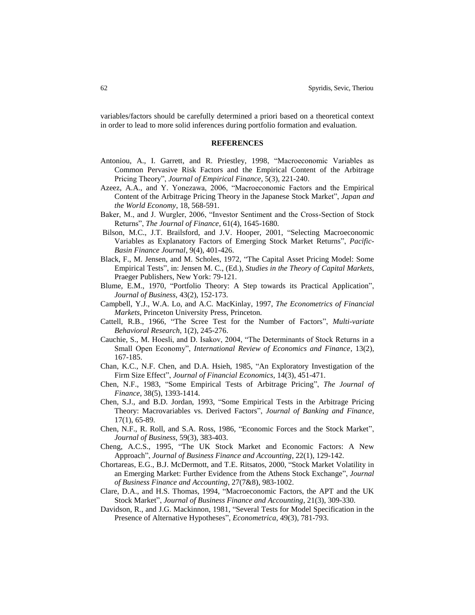variables/factors should be carefully determined a priori based on a theoretical context in order to lead to more solid inferences during portfolio formation and evaluation.

#### **REFERENCES**

- Antoniou, A., I. Garrett, and R. Priestley, 1998, "Macroeconomic Variables as Common Pervasive Risk Factors and the Empirical Content of the Arbitrage Pricing Theory", *Journal of Empirical Finance*, 5(3), 221-240.
- Azeez, A.A., and Y. Yonezawa, 2006, "Macroeconomic Factors and the Empirical Content of the Arbitrage Pricing Theory in the Japanese Stock Market", *Japan and the World Economy*, 18, 568-591.
- Baker, M., and J. Wurgler, 2006, "Investor Sentiment and the Cross-Section of Stock Returns", *The Journal of Finance*, 61(4), 1645-1680.
- Bilson, M.C., J.T. Brailsford, and J.V. Hooper, 2001, "Selecting Macroeconomic Variables as Explanatory Factors of Emerging Stock Market Returns", *Pacific-Basin Finance Journal*, 9(4), 401-426.
- Black, F., M. Jensen, and M. Scholes, 1972, "The Capital Asset Pricing Model: Some Empirical Tests", in: Jensen M. C., (Ed.), *Studies in the Theory of Capital Markets*, Praeger Publishers, New York: 79-121.
- Blume, E.M., 1970, "Portfolio Theory: A Step towards its Practical Application", *Journal of Business*, 43(2), 152-173.
- Campbell, Y.J., W.A. Lo, and A.C. MacKinlay, 1997, *The Econometrics of Financial Markets*, Princeton University Press, Princeton.
- Cattell, R.B., 1966, "The Scree Test for the Number of Factors", *Multi-variate Behavioral Research*, 1(2), 245-276.
- Cauchie, S., M. Hoesli, and D. Isakov, 2004, "The Determinants of Stock Returns in a Small Open Economy", *International Review of Economics and Finance*, 13(2), 167-185.
- Chan, K.C., N.F. Chen, and D.A. Hsieh, 1985, "An Exploratory Investigation of the Firm Size Effect", *Journal of Financial Economics*, 14(3), 451-471.
- Chen, N.F., 1983, "Some Empirical Tests of Arbitrage Pricing", *The Journal of Finance*, 38(5), 1393-1414.
- Chen, S.J., and B.D. Jordan, 1993, "Some Empirical Tests in the Arbitrage Pricing Theory: Macrovariables vs. Derived Factors", *Journal of Banking and Finance*, 17(1), 65-89.
- Chen, N.F., R. Roll, and S.A. Ross, 1986, "Economic Forces and the Stock Market", *Journal of Business*, 59(3), 383-403.
- Cheng, A.C.S., 1995, "The UK Stock Market and Economic Factors: A New Approach", *Journal of Business Finance and Accounting*, 22(1), 129-142.
- Chortareas, E.G., B.J. McDermott, and T.E. Ritsatos, 2000, "Stock Market Volatility in an Emerging Market: Further Evidence from the Athens Stock Exchange", *Journal of Business Finance and Accounting*, 27(7&8), 983-1002.
- Clare, D.A., and H.S. Thomas, 1994, "Macroeconomic Factors, the APT and the UK Stock Market", *Journal of Business Finance and Accounting*, 21(3), 309-330.
- Davidson, R., and J.G. Mackinnon, 1981, "Several Tests for Model Specification in the Presence of Alternative Hypotheses", *Econometrica*, 49(3), 781-793.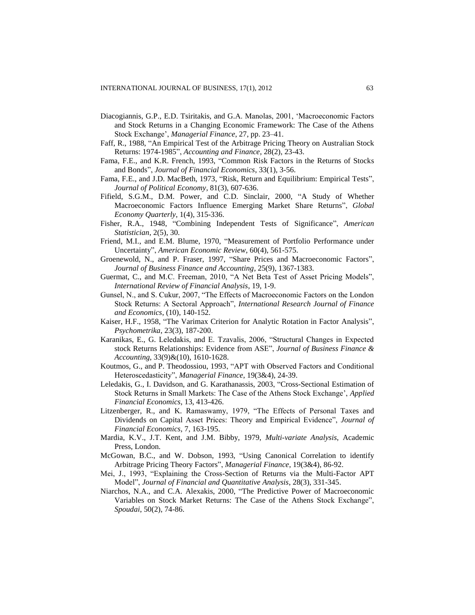- Diacogiannis, G.P., E.D. Tsiritakis, and G.A. Manolas, 2001, 'Macroeconomic Factors and Stock Returns in a Changing Economic Framework: The Case of the Athens Stock Exchange', *Managerial Finance*, 27, pp. 23–41.
- Faff, R., 1988, "An Empirical Test of the Arbitrage Pricing Theory on Australian Stock Returns: 1974-1985", *Accounting and Finance*, 28(2), 23-43.
- Fama, F.E., and K.R. French, 1993, "Common Risk Factors in the Returns of Stocks and Bonds", *Journal of Financial Economics*, 33(1), 3-56.
- Fama, F.E., and J.D. MacBeth, 1973, "Risk, Return and Equilibrium: Empirical Tests", *Journal of Political Economy*, 81(3), 607-636.
- Fifield, S.G.M., D.M. Power, and C.D. Sinclair, 2000, "A Study of Whether Macroeconomic Factors Influence Emerging Market Share Returns", *Global Economy Quarterly*, 1(4), 315-336.
- Fisher, R.A., 1948, "Combining Independent Tests of Significance", *American Statistician*, 2(5), 30.
- Friend, M.I., and E.M. Blume, 1970, "Measurement of Portfolio Performance under Uncertainty", *American Economic Review*, 60(4), 561-575.
- Groenewold, N., and P. Fraser, 1997, "Share Prices and Macroeconomic Factors", *Journal of Business Finance and Accounting*, 25(9), 1367-1383.
- Guermat, C., and M.C. Freeman, 2010, "A Net Beta Test of Asset Pricing Models", *International Review of Financial Analysis*, 19, 1-9.
- Gunsel, N., and S. Cukur, 2007, "The Effects of Macroeconomic Factors on the London Stock Returns: A Sectoral Approach", *International Research Journal of Finance and Economics*, (10), 140-152.
- Kaiser, H.F., 1958, "The Varimax Criterion for Analytic Rotation in Factor Analysis", *Psychometrika*, 23(3), 187-200.
- Karanikas, E., G. Leledakis, and E. Tzavalis, 2006, "Structural Changes in Expected stock Returns Relationships: Evidence from ASE", *Journal of Business Finance & Accounting*, 33(9)&(10), 1610-1628.
- Koutmos, G., and P. Theodossiou, 1993, "APT with Observed Factors and Conditional Heteroscedasticity", *Managerial Finance*, 19(3&4), 24-39.
- Leledakis, G., I. Davidson, and G. Karathanassis, 2003, "Cross-Sectional Estimation of Stock Returns in Small Markets: The Case of the Athens Stock Exchange', *Applied Financial Economics*, 13, 413-426.
- Litzenberger, R., and K. Ramaswamy, 1979, "The Effects of Personal Taxes and Dividends on Capital Asset Prices: Theory and Empirical Evidence", *Journal of Financial Economics*, 7, 163-195.
- Mardia, K.V., J.T. Kent, and J.M. Bibby, 1979, *Multi-variate Analysis*, Academic Press, London.
- McGowan, B.C., and W. Dobson, 1993, "Using Canonical Correlation to identify Arbitrage Pricing Theory Factors", *Managerial Finance*, 19(3&4), 86-92.
- Mei, J., 1993, "Explaining the Cross-Section of Returns via the Multi-Factor APT Model", *Journal of Financial and Quantitative Analysis*, 28(3), 331-345.
- Niarchos, N.A., and C.A. Alexakis, 2000, "The Predictive Power of Macroeconomic Variables on Stock Market Returns: The Case of the Athens Stock Exchange", *Spoudai*, 50(2), 74-86.